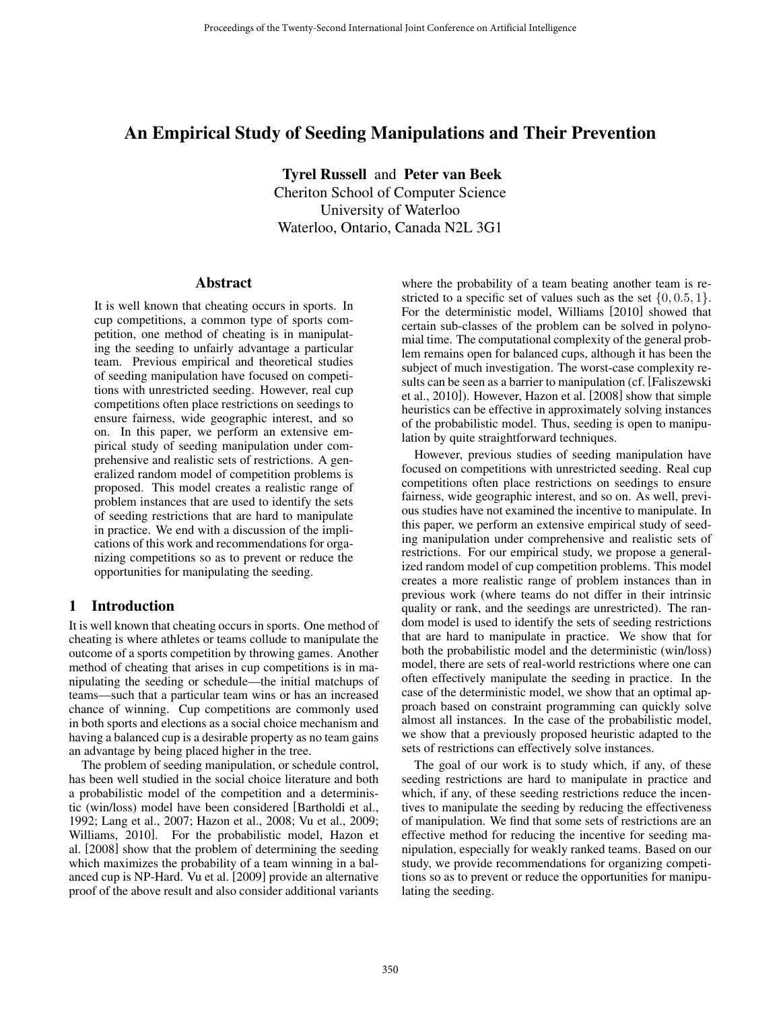# An Empirical Study of Seeding Manipulations and Their Prevention

Tyrel Russell and Peter van Beek Cheriton School of Computer Science University of Waterloo Waterloo, Ontario, Canada N2L 3G1

#### Abstract

It is well known that cheating occurs in sports. In cup competitions, a common type of sports competition, one method of cheating is in manipulating the seeding to unfairly advantage a particular team. Previous empirical and theoretical studies of seeding manipulation have focused on competitions with unrestricted seeding. However, real cup competitions often place restrictions on seedings to ensure fairness, wide geographic interest, and so on. In this paper, we perform an extensive empirical study of seeding manipulation under comprehensive and realistic sets of restrictions. A generalized random model of competition problems is proposed. This model creates a realistic range of problem instances that are used to identify the sets of seeding restrictions that are hard to manipulate in practice. We end with a discussion of the implications of this work and recommendations for organizing competitions so as to prevent or reduce the opportunities for manipulating the seeding.

# 1 Introduction

It is well known that cheating occurs in sports. One method of cheating is where athletes or teams collude to manipulate the outcome of a sports competition by throwing games. Another method of cheating that arises in cup competitions is in manipulating the seeding or schedule—the initial matchups of teams—such that a particular team wins or has an increased chance of winning. Cup competitions are commonly used in both sports and elections as a social choice mechanism and having a balanced cup is a desirable property as no team gains an advantage by being placed higher in the tree.

The problem of seeding manipulation, or schedule control, has been well studied in the social choice literature and both a probabilistic model of the competition and a deterministic (win/loss) model have been considered [Bartholdi et al., 1992; Lang et al., 2007; Hazon et al., 2008; Vu et al., 2009; Williams, 2010]. For the probabilistic model, Hazon et al. [2008] show that the problem of determining the seeding which maximizes the probability of a team winning in a balanced cup is NP-Hard. Vu et al. [2009] provide an alternative proof of the above result and also consider additional variants where the probability of a team beating another team is restricted to a specific set of values such as the set  $\{0, 0.5, 1\}$ . For the deterministic model, Williams [2010] showed that certain sub-classes of the problem can be solved in polynomial time. The computational complexity of the general problem remains open for balanced cups, although it has been the subject of much investigation. The worst-case complexity results can be seen as a barrier to manipulation (cf. [Faliszewski et al., 2010]). However, Hazon et al. [2008] show that simple heuristics can be effective in approximately solving instances of the probabilistic model. Thus, seeding is open to manipulation by quite straightforward techniques.

However, previous studies of seeding manipulation have focused on competitions with unrestricted seeding. Real cup competitions often place restrictions on seedings to ensure fairness, wide geographic interest, and so on. As well, previous studies have not examined the incentive to manipulate. In this paper, we perform an extensive empirical study of seeding manipulation under comprehensive and realistic sets of restrictions. For our empirical study, we propose a generalized random model of cup competition problems. This model creates a more realistic range of problem instances than in previous work (where teams do not differ in their intrinsic quality or rank, and the seedings are unrestricted). The random model is used to identify the sets of seeding restrictions that are hard to manipulate in practice. We show that for both the probabilistic model and the deterministic (win/loss) model, there are sets of real-world restrictions where one can often effectively manipulate the seeding in practice. In the case of the deterministic model, we show that an optimal approach based on constraint programming can quickly solve almost all instances. In the case of the probabilistic model, we show that a previously proposed heuristic adapted to the sets of restrictions can effectively solve instances.

The goal of our work is to study which, if any, of these seeding restrictions are hard to manipulate in practice and which, if any, of these seeding restrictions reduce the incentives to manipulate the seeding by reducing the effectiveness of manipulation. We find that some sets of restrictions are an effective method for reducing the incentive for seeding manipulation, especially for weakly ranked teams. Based on our study, we provide recommendations for organizing competitions so as to prevent or reduce the opportunities for manipulating the seeding.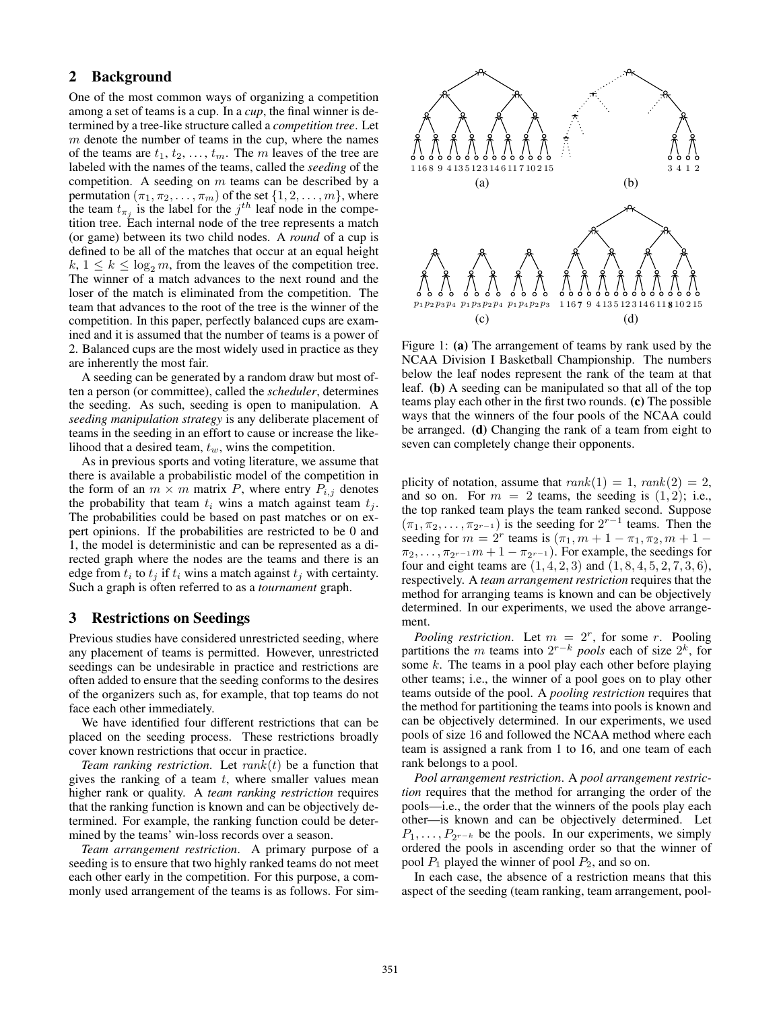# 2 Background

One of the most common ways of organizing a competition among a set of teams is a cup. In a *cup*, the final winner is determined by a tree-like structure called a *competition tree*. Let  $m$  denote the number of teams in the cup, where the names of the teams are  $t_1, t_2, \ldots, t_m$ . The m leaves of the tree are labeled with the names of the teams, called the *seeding* of the competition. A seeding on  $m$  teams can be described by a permutation  $(\pi_1, \pi_2, ..., \pi_m)$  of the set  $\{1, 2, ..., m\}$ , where the team  $t_{\pi_j}$  is the label for the  $j^{th}$  leaf node in the competition tree. Each internal node of the tree represents a match (or game) between its two child nodes. A *round* of a cup is defined to be all of the matches that occur at an equal height  $k, 1 \leq k \leq \log_2 m$ , from the leaves of the competition tree. The winner of a match advances to the next round and the loser of the match is eliminated from the competition. The team that advances to the root of the tree is the winner of the competition. In this paper, perfectly balanced cups are examined and it is assumed that the number of teams is a power of 2. Balanced cups are the most widely used in practice as they are inherently the most fair.

A seeding can be generated by a random draw but most often a person (or committee), called the *scheduler*, determines the seeding. As such, seeding is open to manipulation. A *seeding manipulation strategy* is any deliberate placement of teams in the seeding in an effort to cause or increase the likelihood that a desired team,  $t_w$ , wins the competition.

As in previous sports and voting literature, we assume that there is available a probabilistic model of the competition in the form of an  $m \times m$  matrix P, where entry  $P_{i,j}$  denotes the probability that team  $t_i$  wins a match against team  $t_i$ . The probabilities could be based on past matches or on expert opinions. If the probabilities are restricted to be 0 and 1, the model is deterministic and can be represented as a directed graph where the nodes are the teams and there is an edge from  $t_i$  to  $t_j$  if  $t_i$  wins a match against  $t_j$  with certainty. Such a graph is often referred to as a *tournament* graph.

# 3 Restrictions on Seedings

Previous studies have considered unrestricted seeding, where any placement of teams is permitted. However, unrestricted seedings can be undesirable in practice and restrictions are often added to ensure that the seeding conforms to the desires of the organizers such as, for example, that top teams do not face each other immediately.

We have identified four different restrictions that can be placed on the seeding process. These restrictions broadly cover known restrictions that occur in practice.

*Team ranking restriction.* Let  $rank(t)$  be a function that gives the ranking of a team  $t$ , where smaller values mean higher rank or quality. A *team ranking restriction* requires that the ranking function is known and can be objectively determined. For example, the ranking function could be determined by the teams' win-loss records over a season.

*Team arrangement restriction*. A primary purpose of a seeding is to ensure that two highly ranked teams do not meet each other early in the competition. For this purpose, a commonly used arrangement of the teams is as follows. For sim-



Figure 1: (a) The arrangement of teams by rank used by the NCAA Division I Basketball Championship. The numbers below the leaf nodes represent the rank of the team at that leaf. (b) A seeding can be manipulated so that all of the top teams play each other in the first two rounds. (c) The possible ways that the winners of the four pools of the NCAA could be arranged. (d) Changing the rank of a team from eight to seven can completely change their opponents.

plicity of notation, assume that  $rank(1) = 1, rank(2) = 2$ , and so on. For  $m = 2$  teams, the seeding is  $(1, 2)$ ; i.e., the top ranked team plays the team ranked second. Suppose  $(\pi_1, \pi_2, \ldots, \pi_{2^{r-1}})$  is the seeding for  $2^{r-1}$  teams. Then the seeding for  $m = 2^r$  teams is  $(\pi_1, m + 1 - \pi_1, \pi_2, m + 1 - \pi_2)$  $\pi_2, \ldots, \pi_{2^{r-1}}m + 1 - \pi_{2^{r-1}}$ . For example, the seedings for four and eight teams are  $(1, 4, 2, 3)$  and  $(1, 8, 4, 5, 2, 7, 3, 6)$ , respectively. A *team arrangement restriction* requires that the method for arranging teams is known and can be objectively determined. In our experiments, we used the above arrangement.

*Pooling restriction.* Let  $m = 2<sup>r</sup>$ , for some r. Pooling partitions the m teams into  $2^{r-k}$  *pools* each of size  $2^k$ , for some  $k$ . The teams in a pool play each other before playing other teams; i.e., the winner of a pool goes on to play other teams outside of the pool. A *pooling restriction* requires that the method for partitioning the teams into pools is known and can be objectively determined. In our experiments, we used pools of size 16 and followed the NCAA method where each team is assigned a rank from 1 to 16, and one team of each rank belongs to a pool.

*Pool arrangement restriction*. A *pool arrangement restriction* requires that the method for arranging the order of the pools—i.e., the order that the winners of the pools play each other—is known and can be objectively determined. Let  $P_1, \ldots, P_{2^{r-k}}$  be the pools. In our experiments, we simply ordered the pools in ascending order so that the winner of pool  $P_1$  played the winner of pool  $P_2$ , and so on.

In each case, the absence of a restriction means that this aspect of the seeding (team ranking, team arrangement, pool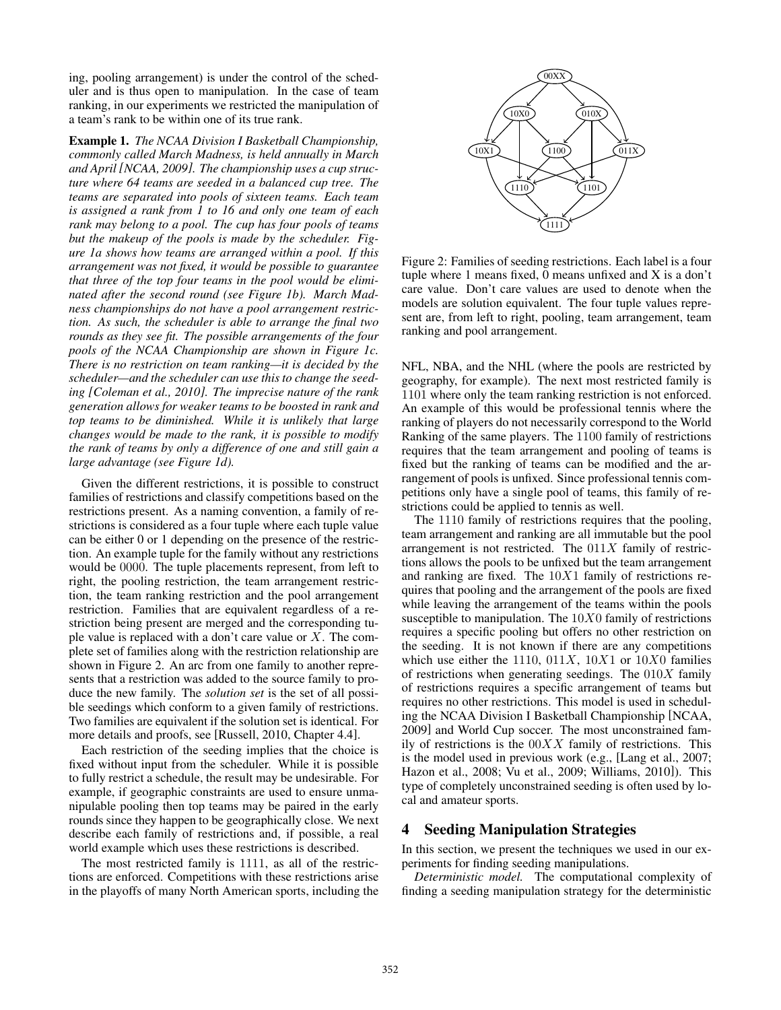ing, pooling arrangement) is under the control of the scheduler and is thus open to manipulation. In the case of team ranking, in our experiments we restricted the manipulation of a team's rank to be within one of its true rank.

Example 1. *The NCAA Division I Basketball Championship, commonly called March Madness, is held annually in March and April [NCAA, 2009]. The championship uses a cup structure where 64 teams are seeded in a balanced cup tree. The teams are separated into pools of sixteen teams. Each team is assigned a rank from 1 to 16 and only one team of each rank may belong to a pool. The cup has four pools of teams but the makeup of the pools is made by the scheduler. Figure 1a shows how teams are arranged within a pool. If this arrangement was not fixed, it would be possible to guarantee that three of the top four teams in the pool would be eliminated after the second round (see Figure 1b). March Madness championships do not have a pool arrangement restriction. As such, the scheduler is able to arrange the final two rounds as they see fit. The possible arrangements of the four pools of the NCAA Championship are shown in Figure 1c. There is no restriction on team ranking—it is decided by the scheduler—and the scheduler can use this to change the seeding [Coleman et al., 2010]. The imprecise nature of the rank generation allows for weaker teams to be boosted in rank and top teams to be diminished. While it is unlikely that large changes would be made to the rank, it is possible to modify the rank of teams by only a difference of one and still gain a large advantage (see Figure 1d).*

Given the different restrictions, it is possible to construct families of restrictions and classify competitions based on the restrictions present. As a naming convention, a family of restrictions is considered as a four tuple where each tuple value can be either 0 or 1 depending on the presence of the restriction. An example tuple for the family without any restrictions would be 0000. The tuple placements represent, from left to right, the pooling restriction, the team arrangement restriction, the team ranking restriction and the pool arrangement restriction. Families that are equivalent regardless of a restriction being present are merged and the corresponding tuple value is replaced with a don't care value or  $X$ . The complete set of families along with the restriction relationship are shown in Figure 2. An arc from one family to another represents that a restriction was added to the source family to produce the new family. The *solution set* is the set of all possible seedings which conform to a given family of restrictions. Two families are equivalent if the solution set is identical. For more details and proofs, see [Russell, 2010, Chapter 4.4].

Each restriction of the seeding implies that the choice is fixed without input from the scheduler. While it is possible to fully restrict a schedule, the result may be undesirable. For example, if geographic constraints are used to ensure unmanipulable pooling then top teams may be paired in the early rounds since they happen to be geographically close. We next describe each family of restrictions and, if possible, a real world example which uses these restrictions is described.

The most restricted family is 1111, as all of the restrictions are enforced. Competitions with these restrictions arise in the playoffs of many North American sports, including the



Figure 2: Families of seeding restrictions. Each label is a four tuple where 1 means fixed, 0 means unfixed and X is a don't care value. Don't care values are used to denote when the models are solution equivalent. The four tuple values represent are, from left to right, pooling, team arrangement, team ranking and pool arrangement.

NFL, NBA, and the NHL (where the pools are restricted by geography, for example). The next most restricted family is 1101 where only the team ranking restriction is not enforced. An example of this would be professional tennis where the ranking of players do not necessarily correspond to the World Ranking of the same players. The 1100 family of restrictions requires that the team arrangement and pooling of teams is fixed but the ranking of teams can be modified and the arrangement of pools is unfixed. Since professional tennis competitions only have a single pool of teams, this family of restrictions could be applied to tennis as well.

The 1110 family of restrictions requires that the pooling, team arrangement and ranking are all immutable but the pool arrangement is not restricted. The  $011X$  family of restrictions allows the pools to be unfixed but the team arrangement and ranking are fixed. The  $10X1$  family of restrictions requires that pooling and the arrangement of the pools are fixed while leaving the arrangement of the teams within the pools susceptible to manipulation. The  $10X0$  family of restrictions requires a specific pooling but offers no other restriction on the seeding. It is not known if there are any competitions which use either the 1110,  $011X$ ,  $10X1$  or  $10X0$  families of restrictions when generating seedings. The  $010X$  family of restrictions requires a specific arrangement of teams but requires no other restrictions. This model is used in scheduling the NCAA Division I Basketball Championship [NCAA, 2009] and World Cup soccer. The most unconstrained family of restrictions is the  $00XX$  family of restrictions. This is the model used in previous work (e.g., [Lang et al., 2007; Hazon et al., 2008; Vu et al., 2009; Williams, 2010]). This type of completely unconstrained seeding is often used by local and amateur sports.

# 4 Seeding Manipulation Strategies

In this section, we present the techniques we used in our experiments for finding seeding manipulations.

*Deterministic model.* The computational complexity of finding a seeding manipulation strategy for the deterministic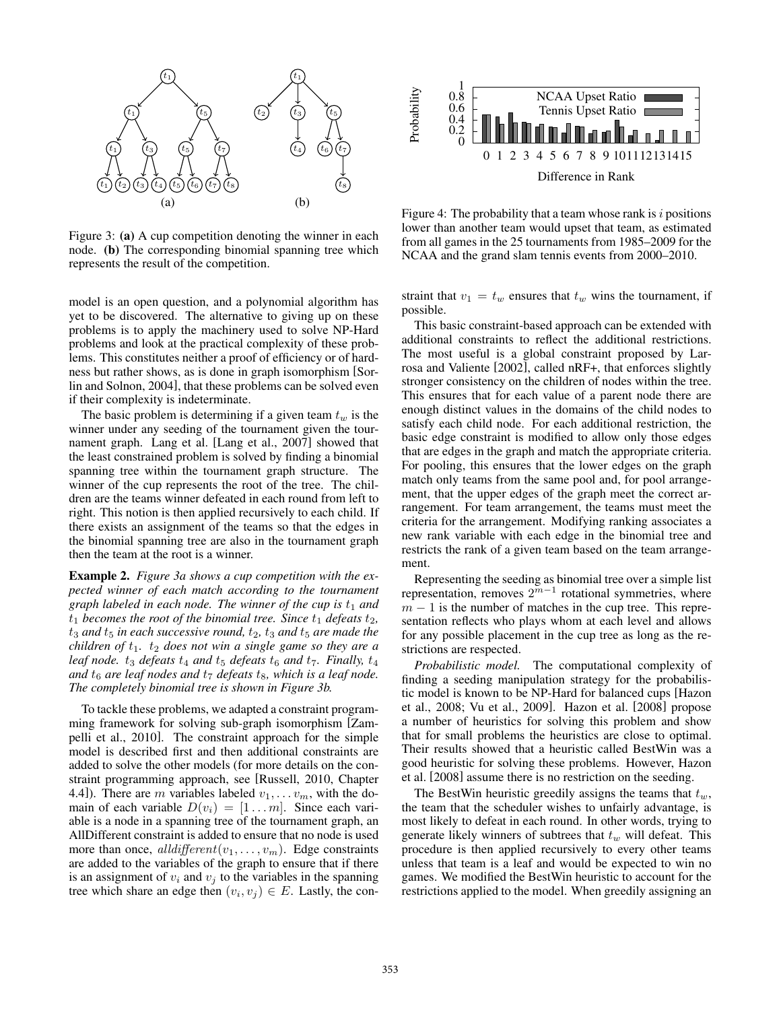

Figure 3: (a) A cup competition denoting the winner in each node. (b) The corresponding binomial spanning tree which represents the result of the competition.

model is an open question, and a polynomial algorithm has yet to be discovered. The alternative to giving up on these problems is to apply the machinery used to solve NP-Hard problems and look at the practical complexity of these problems. This constitutes neither a proof of efficiency or of hardness but rather shows, as is done in graph isomorphism [Sorlin and Solnon, 2004], that these problems can be solved even if their complexity is indeterminate.

The basic problem is determining if a given team  $t_w$  is the winner under any seeding of the tournament given the tournament graph. Lang et al. [Lang et al., 2007] showed that the least constrained problem is solved by finding a binomial spanning tree within the tournament graph structure. The winner of the cup represents the root of the tree. The children are the teams winner defeated in each round from left to right. This notion is then applied recursively to each child. If there exists an assignment of the teams so that the edges in the binomial spanning tree are also in the tournament graph then the team at the root is a winner.

Example 2. *Figure 3a shows a cup competition with the expected winner of each match according to the tournament graph labeled in each node. The winner of the cup is*  $t_1$  *and*  $t_1$  *becomes the root of the binomial tree. Since*  $t_1$  *defeats*  $t_2$ *,*  $t_3$  *and*  $t_5$  *in each successive round,*  $t_2$ *,*  $t_3$  *and*  $t_5$  *are made the children of*  $t_1$ *.*  $t_2$  *does not win a single game so they are a leaf node.*  $t_3$  *defeats*  $t_4$  *and*  $t_5$  *defeats*  $t_6$  *and*  $t_7$ *. Finally,*  $t_4$ and  $t_6$  *are leaf nodes and*  $t_7$  *defeats*  $t_8$ *, which is a leaf node. The completely binomial tree is shown in Figure 3b.*

To tackle these problems, we adapted a constraint programming framework for solving sub-graph isomorphism [Zampelli et al., 2010]. The constraint approach for the simple model is described first and then additional constraints are added to solve the other models (for more details on the constraint programming approach, see [Russell, 2010, Chapter 4.4]). There are m variables labeled  $v_1, \ldots v_m$ , with the domain of each variable  $D(v_i) = [1 \dots m]$ . Since each variable is a node in a spanning tree of the tournament graph, an AllDifferent constraint is added to ensure that no node is used more than once, all different  $(v_1, \ldots, v_m)$ . Edge constraints are added to the variables of the graph to ensure that if there is an assignment of  $v_i$  and  $v_j$  to the variables in the spanning tree which share an edge then  $(v_i, v_j) \in E$ . Lastly, the con-



Figure 4: The probability that a team whose rank is  $i$  positions lower than another team would upset that team, as estimated from all games in the 25 tournaments from 1985–2009 for the NCAA and the grand slam tennis events from 2000–2010.

straint that  $v_1 = t_w$  ensures that  $t_w$  wins the tournament, if possible.

This basic constraint-based approach can be extended with additional constraints to reflect the additional restrictions. The most useful is a global constraint proposed by Larrosa and Valiente [2002], called nRF+, that enforces slightly stronger consistency on the children of nodes within the tree. This ensures that for each value of a parent node there are enough distinct values in the domains of the child nodes to satisfy each child node. For each additional restriction, the basic edge constraint is modified to allow only those edges that are edges in the graph and match the appropriate criteria. For pooling, this ensures that the lower edges on the graph match only teams from the same pool and, for pool arrangement, that the upper edges of the graph meet the correct arrangement. For team arrangement, the teams must meet the criteria for the arrangement. Modifying ranking associates a new rank variable with each edge in the binomial tree and restricts the rank of a given team based on the team arrangement.

Representing the seeding as binomial tree over a simple list representation, removes  $2^{m-1}$  rotational symmetries, where  $m - 1$  is the number of matches in the cup tree. This representation reflects who plays whom at each level and allows for any possible placement in the cup tree as long as the restrictions are respected.

*Probabilistic model.* The computational complexity of finding a seeding manipulation strategy for the probabilistic model is known to be NP-Hard for balanced cups [Hazon et al., 2008; Vu et al., 2009]. Hazon et al. [2008] propose a number of heuristics for solving this problem and show that for small problems the heuristics are close to optimal. Their results showed that a heuristic called BestWin was a good heuristic for solving these problems. However, Hazon et al. [2008] assume there is no restriction on the seeding.

The BestWin heuristic greedily assigns the teams that  $t_w$ , the team that the scheduler wishes to unfairly advantage, is most likely to defeat in each round. In other words, trying to generate likely winners of subtrees that  $t_w$  will defeat. This procedure is then applied recursively to every other teams unless that team is a leaf and would be expected to win no games. We modified the BestWin heuristic to account for the restrictions applied to the model. When greedily assigning an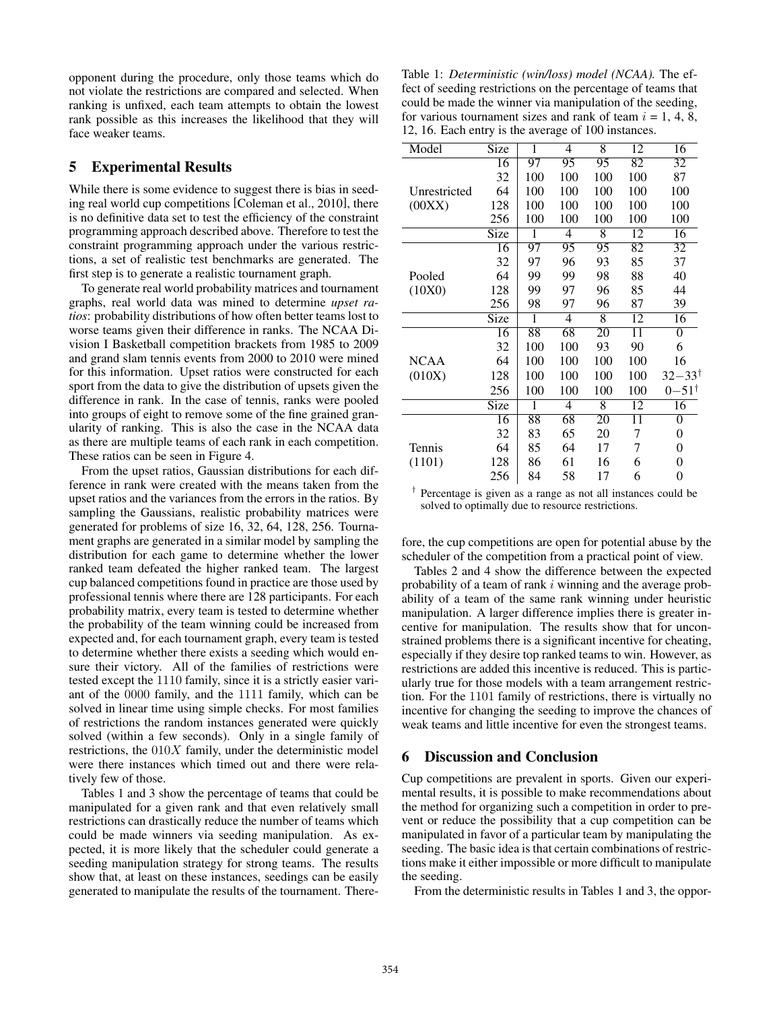opponent during the procedure, only those teams which do not violate the restrictions are compared and selected. When ranking is unfixed, each team attempts to obtain the lowest rank possible as this increases the likelihood that they will face weaker teams.

#### 5 Experimental Results

While there is some evidence to suggest there is bias in seeding real world cup competitions [Coleman et al., 2010], there is no definitive data set to test the efficiency of the constraint programming approach described above. Therefore to test the constraint programming approach under the various restrictions, a set of realistic test benchmarks are generated. The first step is to generate a realistic tournament graph.

To generate real world probability matrices and tournament graphs, real world data was mined to determine *upset ratios*: probability distributions of how often better teams lost to worse teams given their difference in ranks. The NCAA Division I Basketball competition brackets from 1985 to 2009 and grand slam tennis events from 2000 to 2010 were mined for this information. Upset ratios were constructed for each sport from the data to give the distribution of upsets given the difference in rank. In the case of tennis, ranks were pooled into groups of eight to remove some of the fine grained granularity of ranking. This is also the case in the NCAA data as there are multiple teams of each rank in each competition. These ratios can be seen in Figure 4.

From the upset ratios, Gaussian distributions for each difference in rank were created with the means taken from the upset ratios and the variances from the errors in the ratios. By sampling the Gaussians, realistic probability matrices were generated for problems of size 16, 32, 64, 128, 256. Tournament graphs are generated in a similar model by sampling the distribution for each game to determine whether the lower ranked team defeated the higher ranked team. The largest cup balanced competitions found in practice are those used by professional tennis where there are 128 participants. For each probability matrix, every team is tested to determine whether the probability of the team winning could be increased from expected and, for each tournament graph, every team is tested to determine whether there exists a seeding which would ensure their victory. All of the families of restrictions were tested except the 1110 family, since it is a strictly easier variant of the 0000 family, and the 1111 family, which can be solved in linear time using simple checks. For most families of restrictions the random instances generated were quickly solved (within a few seconds). Only in a single family of restrictions, the  $010X$  family, under the deterministic model were there instances which timed out and there were relatively few of those.

Tables 1 and 3 show the percentage of teams that could be manipulated for a given rank and that even relatively small restrictions can drastically reduce the number of teams which could be made winners via seeding manipulation. As expected, it is more likely that the scheduler could generate a seeding manipulation strategy for strong teams. The results show that, at least on these instances, seedings can be easily generated to manipulate the results of the tournament. There-

Table 1: *Deterministic (win/loss) model (NCAA).* The effect of seeding restrictions on the percentage of teams that could be made the winner via manipulation of the seeding, for various tournament sizes and rank of team  $i = 1, 4, 8$ , 12, 16. Each entry is the average of 100 instances.

| Model        | Size | ī               | 4               | 8   | 12  | 16                  |
|--------------|------|-----------------|-----------------|-----|-----|---------------------|
|              | 16   | 97              | 95              | 95  | 82  | 32                  |
|              | 32   | 100             | 100             | 100 | 100 | 87                  |
| Unrestricted | 64   | 100             | 100             | 100 | 100 | 100                 |
| (00XX)       | 128  | 100             | 100             | 100 | 100 | 100                 |
|              | 256  | 100             | 100             | 100 | 100 | 100                 |
|              | Size | 1               | 4               | 8   | 12  | 16                  |
|              | 16   | 97              | 95              | 95  | 82  | 32                  |
|              | 32   | 97              | 96              | 93  | 85  | 37                  |
| Pooled       | 64   | 99              | 99              | 98  | 88  | 40                  |
| (10X0)       | 128  | 99              | 97              | 96  | 85  | 44                  |
|              | 256  | 98              | 97              | 96  | 87  | 39                  |
|              | Size | 1               | 4               | 8   | 12  | 16                  |
|              | 16   | 88              | $\overline{68}$ | 20  | 11  | 0                   |
|              | 32   | 100             | 100             | 93  | 90  | 6                   |
| <b>NCAA</b>  | 64   | 100             | 100             | 100 | 100 | 16                  |
| (010X)       | 128  | 100             | 100             | 100 | 100 | $32 - 33^{\dagger}$ |
|              | 256  | 100             | 100             | 100 | 100 | $0 - 51^{\dagger}$  |
|              | Size | 1               | $\overline{4}$  | 8   | 12  | $\overline{16}$     |
|              | 16   | $\overline{88}$ | 68              | 20  | 11  | 0                   |
|              | 32   | 83              | 65              | 20  | 7   | 0                   |
| Tennis       | 64   | 85              | 64              | 17  | 7   | 0                   |
| (1101)       | 128  | 86              | 61              | 16  | 6   | 0                   |
|              | 256  | 84              | 58              | 17  | 6   | 0                   |
|              |      |                 |                 |     |     |                     |

† Percentage is given as a range as not all instances could be solved to optimally due to resource restrictions.

fore, the cup competitions are open for potential abuse by the scheduler of the competition from a practical point of view.

Tables 2 and 4 show the difference between the expected probability of a team of rank i winning and the average probability of a team of the same rank winning under heuristic manipulation. A larger difference implies there is greater incentive for manipulation. The results show that for unconstrained problems there is a significant incentive for cheating, especially if they desire top ranked teams to win. However, as restrictions are added this incentive is reduced. This is particularly true for those models with a team arrangement restriction. For the 1101 family of restrictions, there is virtually no incentive for changing the seeding to improve the chances of weak teams and little incentive for even the strongest teams.

# 6 Discussion and Conclusion

Cup competitions are prevalent in sports. Given our experimental results, it is possible to make recommendations about the method for organizing such a competition in order to prevent or reduce the possibility that a cup competition can be manipulated in favor of a particular team by manipulating the seeding. The basic idea is that certain combinations of restrictions make it either impossible or more difficult to manipulate the seeding.

From the deterministic results in Tables 1 and 3, the oppor-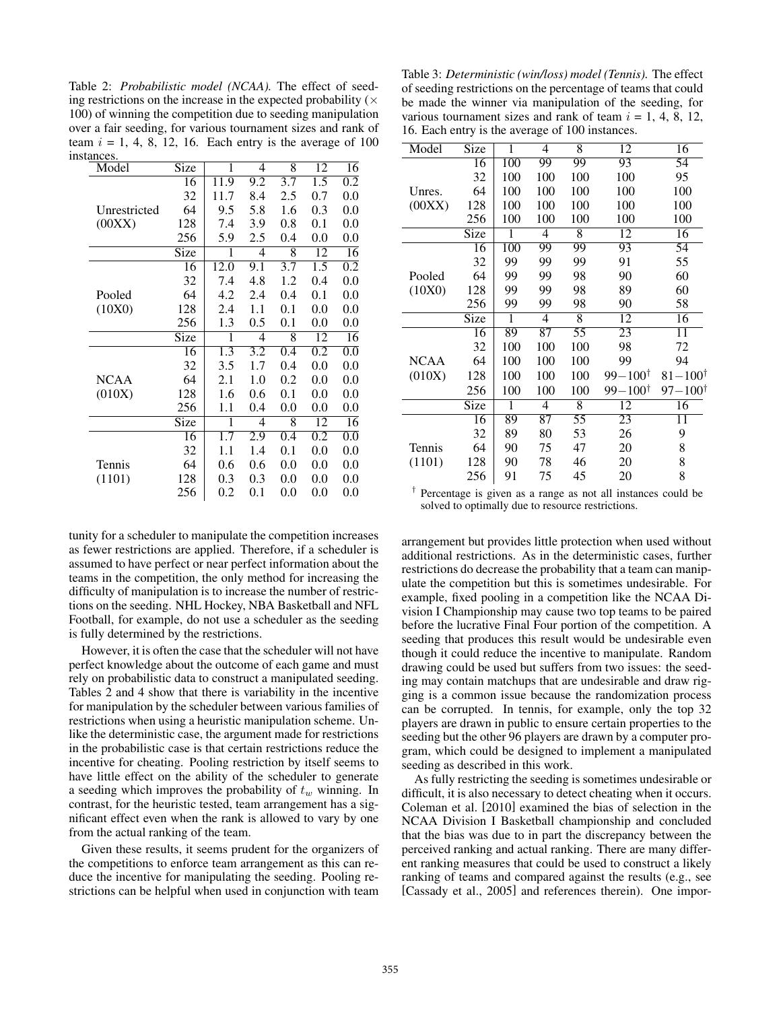Table 2: *Probabilistic model (NCAA).* The effect of seeding restrictions on the increase in the expected probability  $(x)$ 100) of winning the competition due to seeding manipulation over a fair seeding, for various tournament sizes and rank of team  $i = 1, 4, 8, 12, 16$ . Each entry is the average of 100 instances.

| Model        | Size        | 1                | $\overline{4}$   | 8       | 12               | 16               |
|--------------|-------------|------------------|------------------|---------|------------------|------------------|
|              | 16          | 11.9             | 9.2              | 3.7     | 1.5              | 0.2              |
|              | 32          | 11.7             | 8.4              | 2.5     | 0.7              | 0.0              |
| Unrestricted | 64          | 9.5              | 5.8              | 1.6     | 0.3              | 0.0              |
| (00XX)       | 128         | 7.4              | 3.9              | 0.8     | 0.1              | 0.0              |
|              | 256         | 5.9              | 2.5              | 0.4     | 0.0              | 0.0              |
|              | Size        | 1                | 4                | 8       | 12               | $\overline{16}$  |
|              | 16          | 12.0             | 9.1              | 3.7     | 1.5              | 0.2              |
|              | 32          | 7.4              | 4.8              | 1.2     | 0.4              | 0.0              |
| Pooled       | 64          | 4.2              | 2.4              | 0.4     | 0.1              | 0.0              |
| (10X0)       | 128         | 2.4              | 1.1              | 0.1     | 0.0              | 0.0              |
|              | 256         | 1.3              | 0.5              | 0.1     | 0.0              | 0.0              |
|              | Size        | 1                | $\overline{4}$   | 8       | 12               | 16               |
|              | 16          | 1.3              | $\overline{3.2}$ | 0.4     | 0.2              | $\overline{0.0}$ |
|              | 32          | 3.5              | 1.7              | 0.4     | 0.0              | 0.0              |
| <b>NCAA</b>  | 64          | 2.1              | 1.0              | 0.2     | 0.0              | 0.0              |
| (010X)       | 128         | 1.6              | 0.6              | 0.1     | 0.0              | 0.0              |
|              | 256         | 1.1              | 0.4              | 0.0     | 0.0              | 0.0              |
|              | <b>Size</b> | 1                | $\overline{4}$   | 8       | 12               | 16               |
|              | 16          | $1.\overline{7}$ | 2.9              | 0.4     | $\overline{0.2}$ | $\overline{0.0}$ |
|              | 32          | $1.1\,$          | 1.4              | 0.1     | 0.0              | 0.0              |
| Tennis       | 64          | 0.6              | 0.6              | $0.0\,$ | 0.0              | 0.0              |
| (1101)       | 128         | 0.3              | 0.3              | 0.0     | 0.0              | 0.0              |
|              | 256         | 0.2              | 0.1              | 0.0     | 0.0              | 0.0              |

tunity for a scheduler to manipulate the competition increases as fewer restrictions are applied. Therefore, if a scheduler is assumed to have perfect or near perfect information about the teams in the competition, the only method for increasing the difficulty of manipulation is to increase the number of restrictions on the seeding. NHL Hockey, NBA Basketball and NFL Football, for example, do not use a scheduler as the seeding is fully determined by the restrictions.

However, it is often the case that the scheduler will not have perfect knowledge about the outcome of each game and must rely on probabilistic data to construct a manipulated seeding. Tables 2 and 4 show that there is variability in the incentive for manipulation by the scheduler between various families of restrictions when using a heuristic manipulation scheme. Unlike the deterministic case, the argument made for restrictions in the probabilistic case is that certain restrictions reduce the incentive for cheating. Pooling restriction by itself seems to have little effect on the ability of the scheduler to generate a seeding which improves the probability of  $t_w$  winning. In contrast, for the heuristic tested, team arrangement has a significant effect even when the rank is allowed to vary by one from the actual ranking of the team.

Given these results, it seems prudent for the organizers of the competitions to enforce team arrangement as this can reduce the incentive for manipulating the seeding. Pooling restrictions can be helpful when used in conjunction with team

Table 3: *Deterministic (win/loss) model (Tennis).* The effect of seeding restrictions on the percentage of teams that could be made the winner via manipulation of the seeding, for various tournament sizes and rank of team  $i = 1, 4, 8, 12,$ 16. Each entry is the average of 100 instances.

| Model       | Size | 1   | 4               | 8              | 12                   | 16                   |
|-------------|------|-----|-----------------|----------------|----------------------|----------------------|
|             | 16   | 100 | 99              | 99             | 93                   | 54                   |
|             | 32   | 100 | 100             | 100            | 100                  | 95                   |
| Unres.      | 64   | 100 | 100             | 100            | 100                  | 100                  |
| (00XX)      | 128  | 100 | 100             | 100            | 100                  | 100                  |
|             | 256  | 100 | 100             | 100            | 100                  | 100                  |
|             | Size | 1   | 4               | 8              | $\overline{12}$      | $\overline{16}$      |
|             | 16   | 100 | 99              | 99             | 93                   | 54                   |
|             | 32   | 99  | 99              | 99             | 91                   | 55                   |
| Pooled      | 64   | 99  | 99              | 98             | 90                   | 60                   |
| (10X0)      | 128  | 99  | 99              | 98             | 89                   | 60                   |
|             | 256  | 99  | 99              | 98             | 90                   | 58                   |
|             | Size | 1   | 4               | $\overline{8}$ | 12                   | 16                   |
|             | 16   | 89  | 87              | 55             | 23                   | 11                   |
|             | 32   | 100 | 100             | 100            | 98                   | 72                   |
| <b>NCAA</b> | 64   | 100 | 100             | 100            | 99                   | 94                   |
| (010X)      | 128  | 100 | 100             | 100            | $99 - 100^{\dagger}$ | $81 - 100^{\dagger}$ |
|             | 256  | 100 | 100             | 100            | $99 - 100^{\dagger}$ | $97 - 100^{\dagger}$ |
|             | Size | 1   | 4               | $\overline{8}$ | 12                   | 16                   |
|             | 16   | 89  | $\overline{87}$ | 55             | 23                   | 11                   |
|             | 32   | 89  | 80              | 53             | 26                   | 9                    |
| Tennis      | 64   | 90  | 75              | 47             | 20                   | 8                    |
| (1101)      | 128  | 90  | 78              | 46             | 20                   | 8                    |
|             | 256  | 91  | 75              | 45             | 20                   | 8                    |
|             |      |     |                 |                |                      |                      |

† Percentage is given as a range as not all instances could be solved to optimally due to resource restrictions.

arrangement but provides little protection when used without additional restrictions. As in the deterministic cases, further restrictions do decrease the probability that a team can manipulate the competition but this is sometimes undesirable. For example, fixed pooling in a competition like the NCAA Division I Championship may cause two top teams to be paired before the lucrative Final Four portion of the competition. A seeding that produces this result would be undesirable even though it could reduce the incentive to manipulate. Random drawing could be used but suffers from two issues: the seeding may contain matchups that are undesirable and draw rigging is a common issue because the randomization process can be corrupted. In tennis, for example, only the top 32 players are drawn in public to ensure certain properties to the seeding but the other 96 players are drawn by a computer program, which could be designed to implement a manipulated seeding as described in this work.

As fully restricting the seeding is sometimes undesirable or difficult, it is also necessary to detect cheating when it occurs. Coleman et al. [2010] examined the bias of selection in the NCAA Division I Basketball championship and concluded that the bias was due to in part the discrepancy between the perceived ranking and actual ranking. There are many different ranking measures that could be used to construct a likely ranking of teams and compared against the results (e.g., see [Cassady et al., 2005] and references therein). One impor-